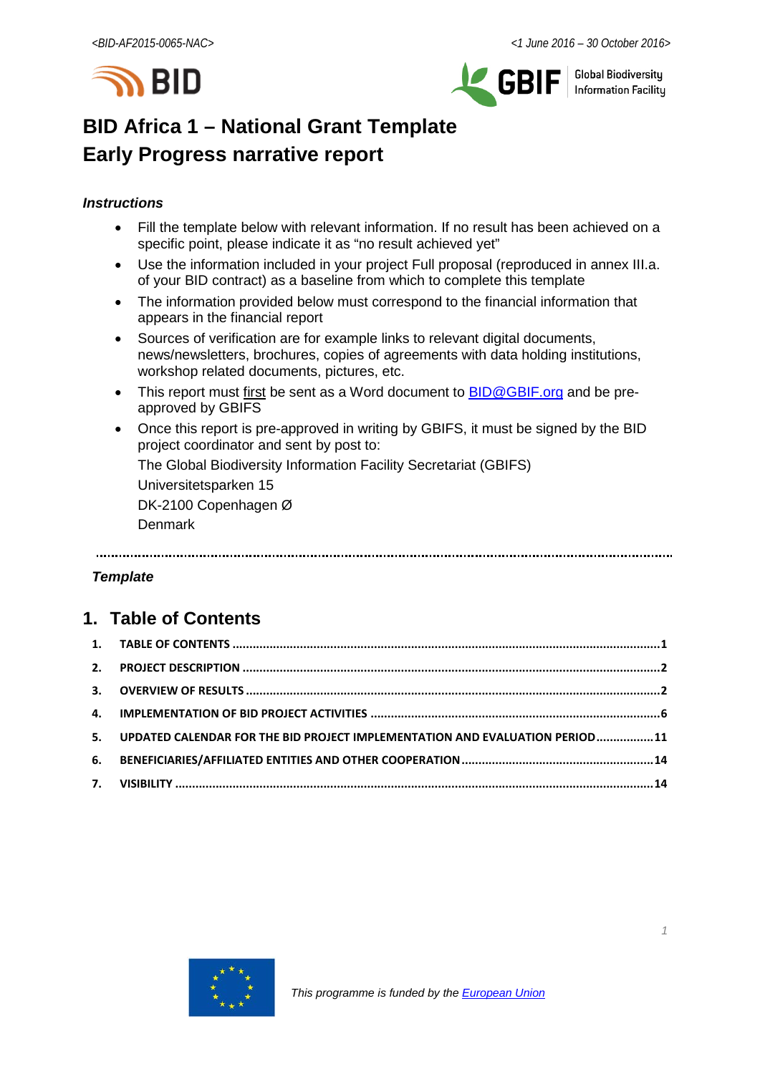



**Global Biodiversity** Information Facilitu

# **BID Africa 1 – National Grant Template Early Progress narrative report**

### *Instructions*

- Fill the template below with relevant information. If no result has been achieved on a specific point, please indicate it as "no result achieved yet"
- Use the information included in your project Full proposal (reproduced in annex III.a. of your BID contract) as a baseline from which to complete this template
- The information provided below must correspond to the financial information that appears in the financial report
- Sources of verification are for example links to relevant digital documents, news/newsletters, brochures, copies of agreements with data holding institutions, workshop related documents, pictures, etc.
- This report must first be sent as a Word document to **BID@GBIF.org** and be preapproved by GBIFS
- Once this report is pre-approved in writing by GBIFS, it must be signed by the BID project coordinator and sent by post to:

The Global Biodiversity Information Facility Secretariat (GBIFS)

Universitetsparken 15

DK-2100 Copenhagen Ø

Denmark

#### *Template*

# <span id="page-0-0"></span>**1. Table of Contents**

| 5. UPDATED CALENDAR FOR THE BID PROJECT IMPLEMENTATION AND EVALUATION PERIOD11 |  |
|--------------------------------------------------------------------------------|--|
|                                                                                |  |
|                                                                                |  |

<span id="page-0-1"></span>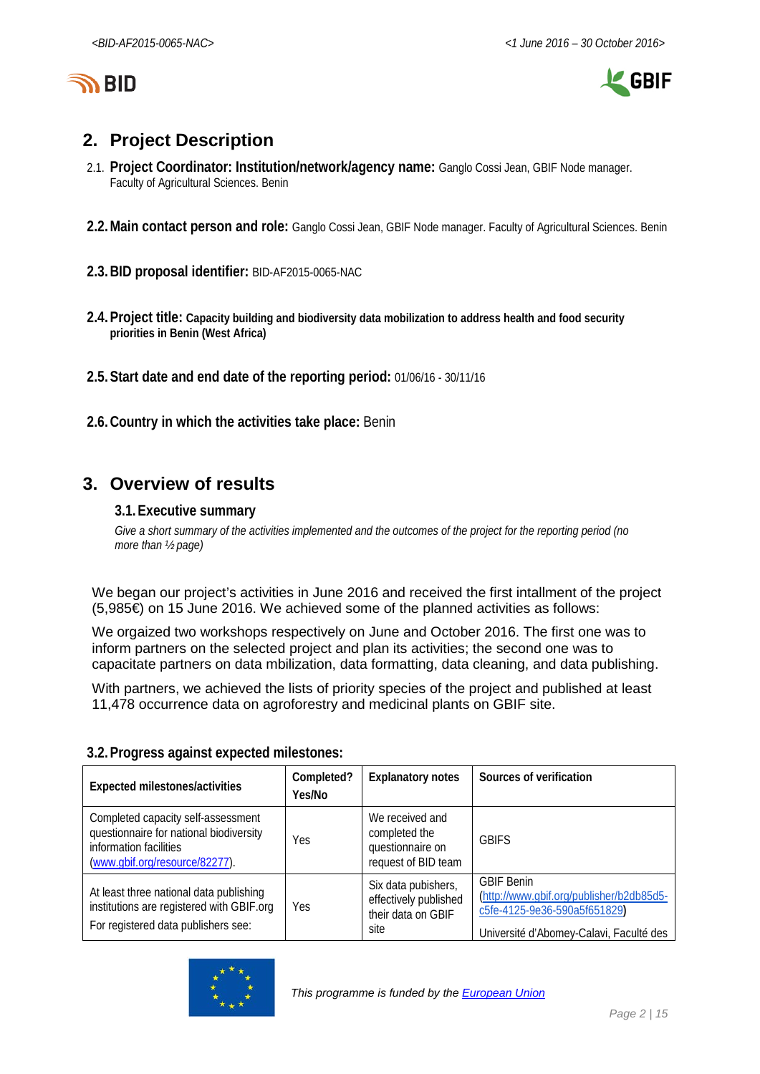

LE GBIF

# **2. Project Description**

- 2.1. **Project Coordinator: Institution/network/agency name:** Ganglo Cossi Jean, GBIF Node manager. Faculty of Agricultural Sciences. Benin
- **2.2.Main contact person and role:** Ganglo Cossi Jean, GBIF Node manager. Faculty of Agricultural Sciences. Benin
- **2.3.BID proposal identifier:** BID-AF2015-0065-NAC
- **2.4.Project title: Capacity building and biodiversity data mobilization to address health and food security priorities in Benin (West Africa)**
- **2.5.Start date and end date of the reporting period:** 01/06/16 30/11/16
- **2.6.Country in which the activities take place:** Benin

# <span id="page-1-0"></span>**3. Overview of results**

### **3.1.Executive summary**

*Give a short summary of the activities implemented and the outcomes of the project for the reporting period (no more than ½ page)*

We began our project's activities in June 2016 and received the first intallment of the project (5,985€) on 15 June 2016. We achieved some of the planned activities as follows:

We orgaized two workshops respectively on June and October 2016. The first one was to inform partners on the selected project and plan its activities; the second one was to capacitate partners on data mbilization, data formatting, data cleaning, and data publishing.

With partners, we achieved the lists of priority species of the project and published at least 11,478 occurrence data on agroforestry and medicinal plants on GBIF site.

| Expected milestones/activities                                                                                                            | Completed?<br>Yes/No | <b>Explanatory notes</b>                                                    | Sources of verification                                                                                                                  |
|-------------------------------------------------------------------------------------------------------------------------------------------|----------------------|-----------------------------------------------------------------------------|------------------------------------------------------------------------------------------------------------------------------------------|
| Completed capacity self-assessment<br>questionnaire for national biodiversity<br>information facilities<br>(www.gbif.org/resource/82277). | Yes                  | We received and<br>completed the<br>questionnaire on<br>request of BID team | <b>GBIFS</b>                                                                                                                             |
| At least three national data publishing<br>institutions are registered with GBIF.org<br>For registered data publishers see:               | Yes                  | Six data pubishers,<br>effectively published<br>their data on GBIF<br>site  | <b>GBIF Benin</b><br>(http://www.gbif.org/publisher/b2db85d5-<br>c5fe-4125-9e36-590a5f651829)<br>Université d'Abomey-Calavi, Faculté des |

#### **3.2.Progress against expected milestones:**

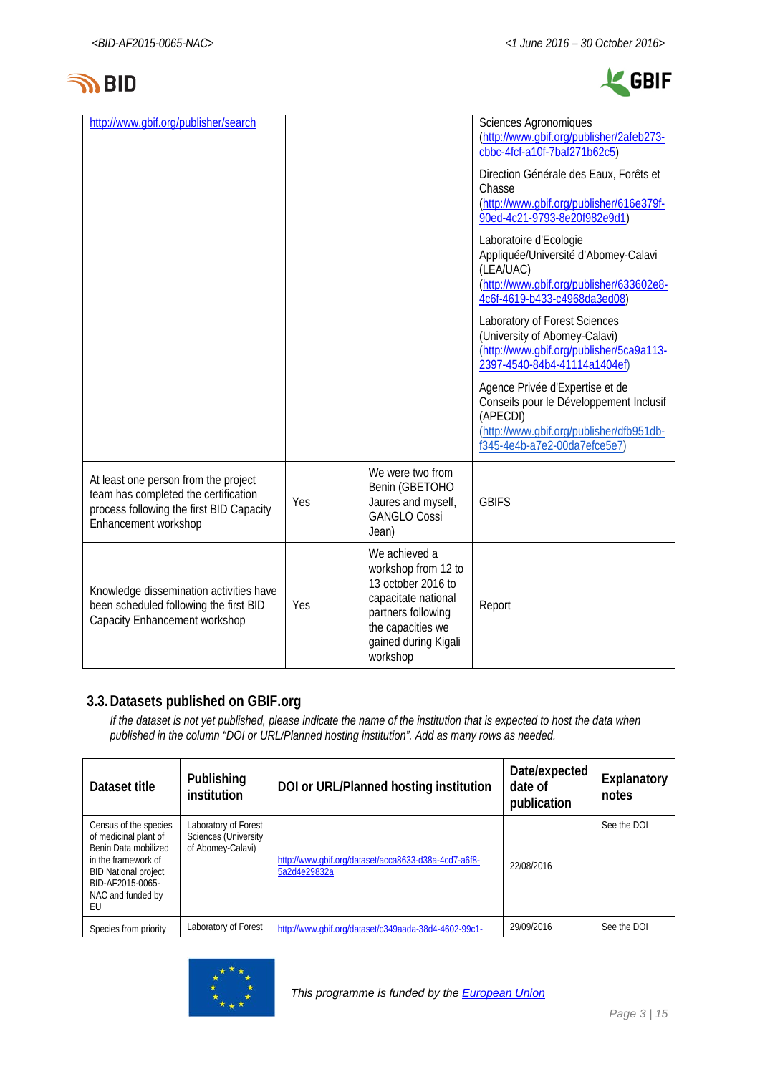



| http://www.gbif.org/publisher/search                                                                                                             |     |                                                                                                                                                                  | Sciences Agronomiques<br>(http://www.gbif.org/publisher/2afeb273-<br>cbbc-4fcf-a10f-7baf271b62c5)<br>Direction Générale des Eaux, Forêts et<br>Chasse<br>(http://www.gbif.org/publisher/616e379f-<br>90ed-4c21-9793-8e20f982e9d1)<br>Laboratoire d'Ecologie<br>Appliquée/Université d'Abomey-Calavi<br>(LEA/UAC)<br>(http://www.gbif.org/publisher/633602e8-<br>4c6f-4619-b433-c4968da3ed08)<br>Laboratory of Forest Sciences<br>(University of Abomey-Calavi)<br>(http://www.gbif.org/publisher/5ca9a113-<br>2397-4540-84b4-41114a1404ef)<br>Agence Privée d'Expertise et de<br>Conseils pour le Développement Inclusif<br>(APECDI)<br>(http://www.gbif.org/publisher/dfb951db-<br>f345-4e4b-a7e2-00da7efce5e7) |
|--------------------------------------------------------------------------------------------------------------------------------------------------|-----|------------------------------------------------------------------------------------------------------------------------------------------------------------------|------------------------------------------------------------------------------------------------------------------------------------------------------------------------------------------------------------------------------------------------------------------------------------------------------------------------------------------------------------------------------------------------------------------------------------------------------------------------------------------------------------------------------------------------------------------------------------------------------------------------------------------------------------------------------------------------------------------|
| At least one person from the project<br>team has completed the certification<br>process following the first BID Capacity<br>Enhancement workshop | Yes | We were two from<br>Benin (GBETOHO<br>Jaures and myself,<br><b>GANGLO Cossi</b><br>Jean)                                                                         | <b>GBIFS</b>                                                                                                                                                                                                                                                                                                                                                                                                                                                                                                                                                                                                                                                                                                     |
| Knowledge dissemination activities have<br>been scheduled following the first BID<br>Capacity Enhancement workshop                               | Yes | We achieved a<br>workshop from 12 to<br>13 october 2016 to<br>capacitate national<br>partners following<br>the capacities we<br>gained during Kigali<br>workshop | Report                                                                                                                                                                                                                                                                                                                                                                                                                                                                                                                                                                                                                                                                                                           |

## **3.3.Datasets published on GBIF.org**

*If the dataset is not yet published, please indicate the name of the institution that is expected to host the data when published in the column "DOI or URL/Planned hosting institution". Add as many rows as needed.*

| Dataset title                                                                                                                                                               | Publishing<br>institution                                                | DOI or URL/Planned hosting institution                               | Date/expected<br>date of<br>publication | Explanatory<br>notes |
|-----------------------------------------------------------------------------------------------------------------------------------------------------------------------------|--------------------------------------------------------------------------|----------------------------------------------------------------------|-----------------------------------------|----------------------|
| Census of the species<br>of medicinal plant of<br>Benin Data mobilized<br>in the framework of<br><b>BID National project</b><br>BID-AF2015-0065-<br>NAC and funded by<br>EU | Laboratory of Forest<br><b>Sciences (University</b><br>of Abomey-Calavi) | http://www.gbif.org/dataset/acca8633-d38a-4cd7-a6f8-<br>5a2d4e29832a | 22/08/2016                              | See the DOI          |
| Species from priority                                                                                                                                                       | Laboratory of Forest                                                     | http://www.gbif.org/dataset/c349aada-38d4-4602-99c1-                 | 29/09/2016                              | See the DOI          |

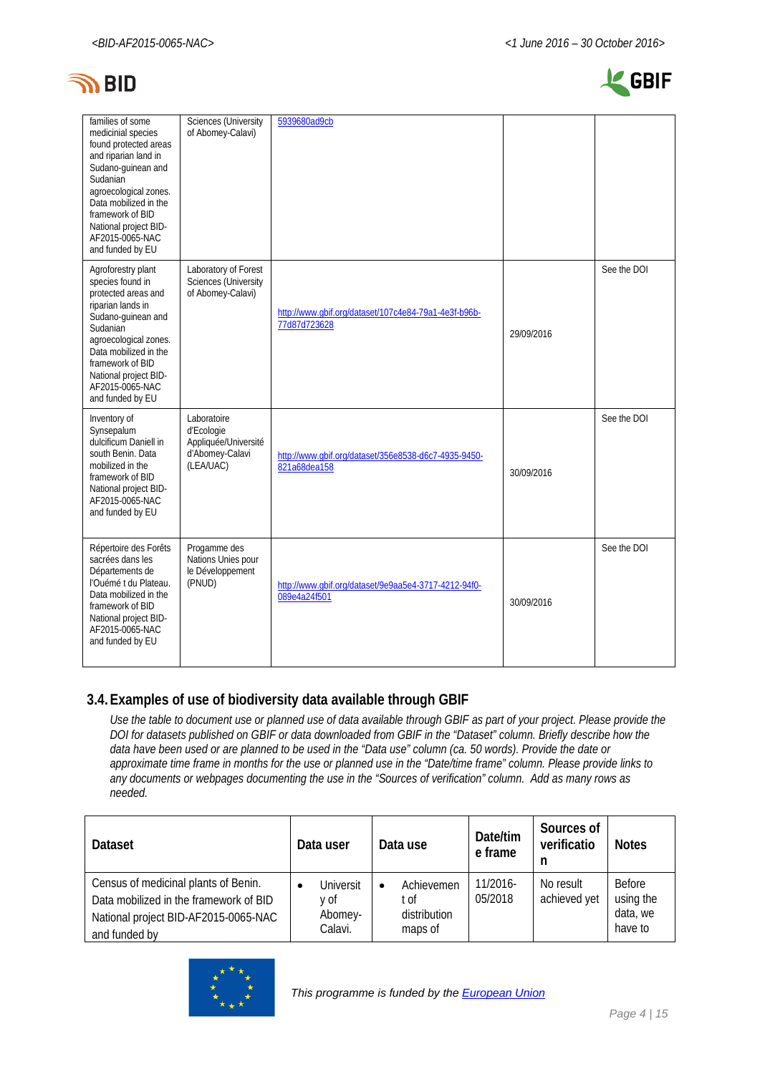



| families of some<br>medicinial species<br>found protected areas<br>and riparian land in<br>Sudano-quinean and<br>Sudanian<br>agroecological zones.<br>Data mobilized in the<br>framework of BID<br>National project BID-<br>AF2015-0065-NAC<br>and funded by EU | <b>Sciences (University</b><br>of Abomey-Calavi)                                  | 5939680ad9cb                                                         |            |             |
|-----------------------------------------------------------------------------------------------------------------------------------------------------------------------------------------------------------------------------------------------------------------|-----------------------------------------------------------------------------------|----------------------------------------------------------------------|------------|-------------|
| Agroforestry plant<br>species found in<br>protected areas and<br>riparian lands in<br>Sudano-guinean and<br>Sudanian<br>agroecological zones.<br>Data mobilized in the<br>framework of BID<br>National project BID-<br>AF2015-0065-NAC<br>and funded by EU      | Laboratory of Forest<br>Sciences (University<br>of Abomey-Calavi)                 | http://www.qbif.org/dataset/107c4e84-79a1-4e3f-b96b-<br>77d87d723628 | 29/09/2016 | See the DOI |
| Inventory of<br>Synsepalum<br>dulcificum Daniell in<br>south Benin. Data<br>mobilized in the<br>framework of BID<br>National project BID-<br>AF2015-0065-NAC<br>and funded by EU                                                                                | Laboratoire<br>d'Ecologie<br>Appliquée/Université<br>d'Abomey-Calavi<br>(LEA/UAC) | http://www.qbif.org/dataset/356e8538-d6c7-4935-9450-<br>821a68dea158 | 30/09/2016 | See the DOI |
| Répertoire des Forêts<br>sacrées dans les<br>Départements de<br>l'Ouémé t du Plateau.<br>Data mobilized in the<br>framework of BID<br>National project BID-<br>AF2015-0065-NAC<br>and funded by EU                                                              | Progamme des<br>Nations Unies pour<br>le Développement<br>(PNUD)                  | http://www.gbif.org/dataset/9e9aa5e4-3717-4212-94f0-<br>089e4a24f501 | 30/09/2016 | See the DOI |

### **3.4.Examples of use of biodiversity data available through GBIF**

*Use the table to document use or planned use of data available through GBIF as part of your project. Please provide the DOI for datasets published on GBIF or data downloaded from GBIF in the "Dataset" column. Briefly describe how the data have been used or are planned to be used in the "Data use" column (ca. 50 words). Provide the date or approximate time frame in months for the use or planned use in the "Date/time frame" column. Please provide links to any documents or webpages documenting the use in the "Sources of verification" column. Add as many rows as needed.*

| <b>Dataset</b>                                                                                                                          | Data user                               | Data use                                                  | Date/tim<br>e frame | Sources of<br>verificatio<br>n | <b>Notes</b>                                      |
|-----------------------------------------------------------------------------------------------------------------------------------------|-----------------------------------------|-----------------------------------------------------------|---------------------|--------------------------------|---------------------------------------------------|
| Census of medicinal plants of Benin.<br>Data mobilized in the framework of BID<br>National project BID-AF2015-0065-NAC<br>and funded by | Universit<br>v of<br>Abomey-<br>Calavi. | Achievemen<br>$\bullet$<br>∵of<br>distribution<br>maps of | 11/2016-<br>05/2018 | No result<br>achieved yet      | <b>Before</b><br>using the<br>data, we<br>have to |

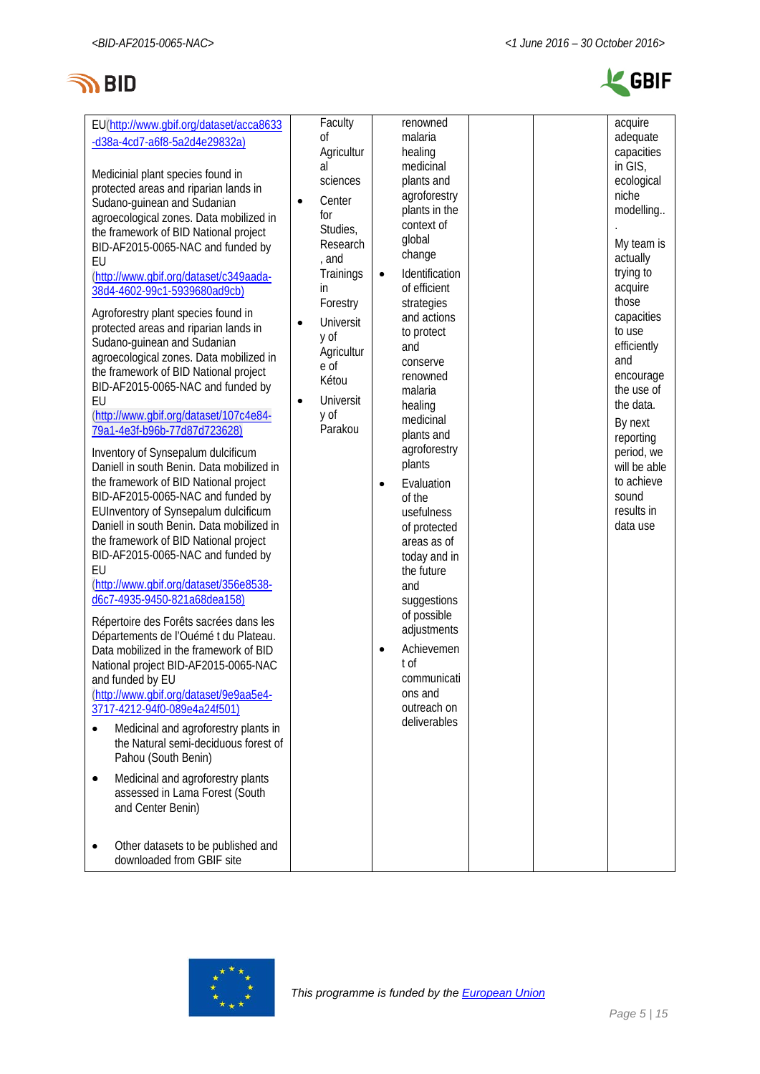



| protected areas and riparian lands in<br>Sudano-guinean and Sudanian<br>agroecological zones. Data mobilized in<br>the framework of BID National project<br>BID-AF2015-0065-NAC and funded by<br>EU<br>(http://www.gbif.org/dataset/c349aada-<br>38d4-4602-99c1-5939680ad9cb)<br>Agroforestry plant species found in<br>protected areas and riparian lands in<br>Sudano-guinean and Sudanian<br>agroecological zones. Data mobilized in<br>the framework of BID National project<br>BID-AF2015-0065-NAC and funded by<br>EU<br>(http://www.gbif.org/dataset/107c4e84-<br>79a1-4e3f-b96b-77d87d723628)<br>Inventory of Synsepalum dulcificum<br>Daniell in south Benin. Data mobilized in<br>the framework of BID National project<br>BID-AF2015-0065-NAC and funded by<br>EUInventory of Synsepalum dulcificum<br>Daniell in south Benin. Data mobilized in<br>the framework of BID National project<br>BID-AF2015-0065-NAC and funded by<br>EU<br>(http://www.qbif.org/dataset/356e8538-<br>d6c7-4935-9450-821a68dea158)<br>Répertoire des Forêts sacrées dans les<br>Départements de l'Ouémé t du Plateau.<br>Data mobilized in the framework of BID<br>National project BID-AF2015-0065-NAC<br>and funded by EU<br>(http://www.gbif.org/dataset/9e9aa5e4-<br>3717-4212-94f0-089e4a24f501)<br>Medicinal and agroforestry plants in<br>$\bullet$<br>the Natural semi-deciduous forest of<br>Pahou (South Benin)<br>Medicinal and agroforestry plants<br>٠<br>assessed in Lama Forest (South<br>and Center Benin) | , and<br>Trainings<br>in.<br>Forestry<br>Universit<br>y of<br>Agricultur<br>e of<br>Kétou<br>Universit<br>$\bullet$<br>y of<br>Parakou | change<br>Identification<br>$\bullet$<br>of efficient<br>strategies<br>and actions<br>to protect<br>and<br>conserve<br>renowned<br>malaria<br>healing<br>medicinal<br>plants and<br>agroforestry<br>plants<br>Evaluation<br>$\bullet$<br>of the<br>usefulness<br>of protected<br>areas as of<br>today and in<br>the future<br>and<br>suggestions<br>of possible<br>adjustments<br>Achievemen<br>$\bullet$<br>t of<br>communicati<br>ons and<br>outreach on<br>deliverables |  | My team is<br>actually<br>trying to<br>acquire<br>those<br>capacities<br>to use<br>efficiently<br>and<br>encourage<br>the use of<br>the data.<br>By next<br>reporting<br>period, we<br>will be able<br>to achieve<br>sound<br>results in<br>data use |
|-------------------------------------------------------------------------------------------------------------------------------------------------------------------------------------------------------------------------------------------------------------------------------------------------------------------------------------------------------------------------------------------------------------------------------------------------------------------------------------------------------------------------------------------------------------------------------------------------------------------------------------------------------------------------------------------------------------------------------------------------------------------------------------------------------------------------------------------------------------------------------------------------------------------------------------------------------------------------------------------------------------------------------------------------------------------------------------------------------------------------------------------------------------------------------------------------------------------------------------------------------------------------------------------------------------------------------------------------------------------------------------------------------------------------------------------------------------------------------------------------------------------|----------------------------------------------------------------------------------------------------------------------------------------|----------------------------------------------------------------------------------------------------------------------------------------------------------------------------------------------------------------------------------------------------------------------------------------------------------------------------------------------------------------------------------------------------------------------------------------------------------------------------|--|------------------------------------------------------------------------------------------------------------------------------------------------------------------------------------------------------------------------------------------------------|
| Other datasets to be published and<br>downloaded from GBIF site                                                                                                                                                                                                                                                                                                                                                                                                                                                                                                                                                                                                                                                                                                                                                                                                                                                                                                                                                                                                                                                                                                                                                                                                                                                                                                                                                                                                                                                   |                                                                                                                                        |                                                                                                                                                                                                                                                                                                                                                                                                                                                                            |  |                                                                                                                                                                                                                                                      |

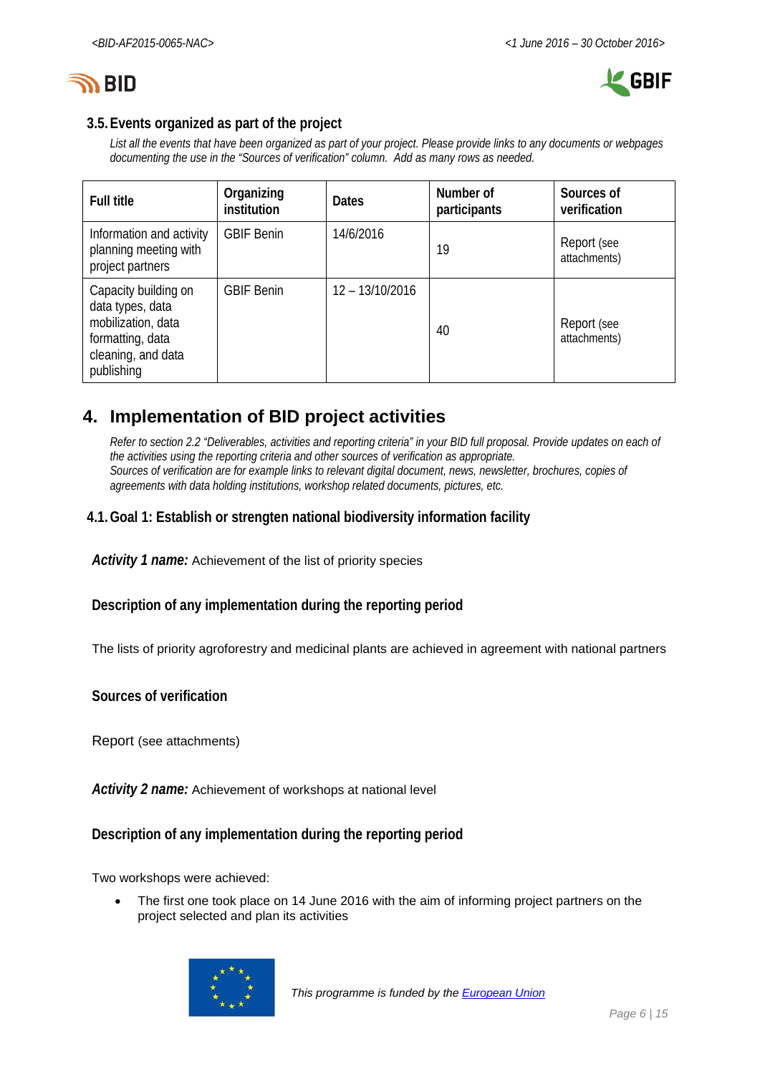



### **3.5.Events organized as part of the project**

*List all the events that have been organized as part of your project. Please provide links to any documents or webpages documenting the use in the "Sources of verification" column. Add as many rows as needed.*

| <b>Full title</b>                                                                                                      | Organizing<br>institution | <b>Dates</b>      | Number of<br>participants | Sources of<br>verification  |
|------------------------------------------------------------------------------------------------------------------------|---------------------------|-------------------|---------------------------|-----------------------------|
| Information and activity<br>planning meeting with<br>project partners                                                  | <b>GBIF Benin</b>         | 14/6/2016         | 19                        | Report (see<br>attachments) |
| Capacity building on<br>data types, data<br>mobilization, data<br>formatting, data<br>cleaning, and data<br>publishing | <b>GBIF Benin</b>         | $12 - 13/10/2016$ | 40                        | Report (see<br>attachments) |

# <span id="page-5-0"></span>**4. Implementation of BID project activities**

*Refer to section 2.2 "Deliverables, activities and reporting criteria" in your BID full proposal. Provide updates on each of the activities using the reporting criteria and other sources of verification as appropriate. Sources of verification are for example links to relevant digital document, news, newsletter, brochures, copies of agreements with data holding institutions, workshop related documents, pictures, etc.*

### **4.1.Goal 1: Establish or strengten national biodiversity information facility**

*Activity 1 name:* Achievement of the list of priority species

**Description of any implementation during the reporting period**

The lists of priority agroforestry and medicinal plants are achieved in agreement with national partners

**Sources of verification**

Report (see attachments)

*Activity 2 name:* Achievement of workshops at national level

#### **Description of any implementation during the reporting period**

Two workshops were achieved:

• The first one took place on 14 June 2016 with the aim of informing project partners on the project selected and plan its activities

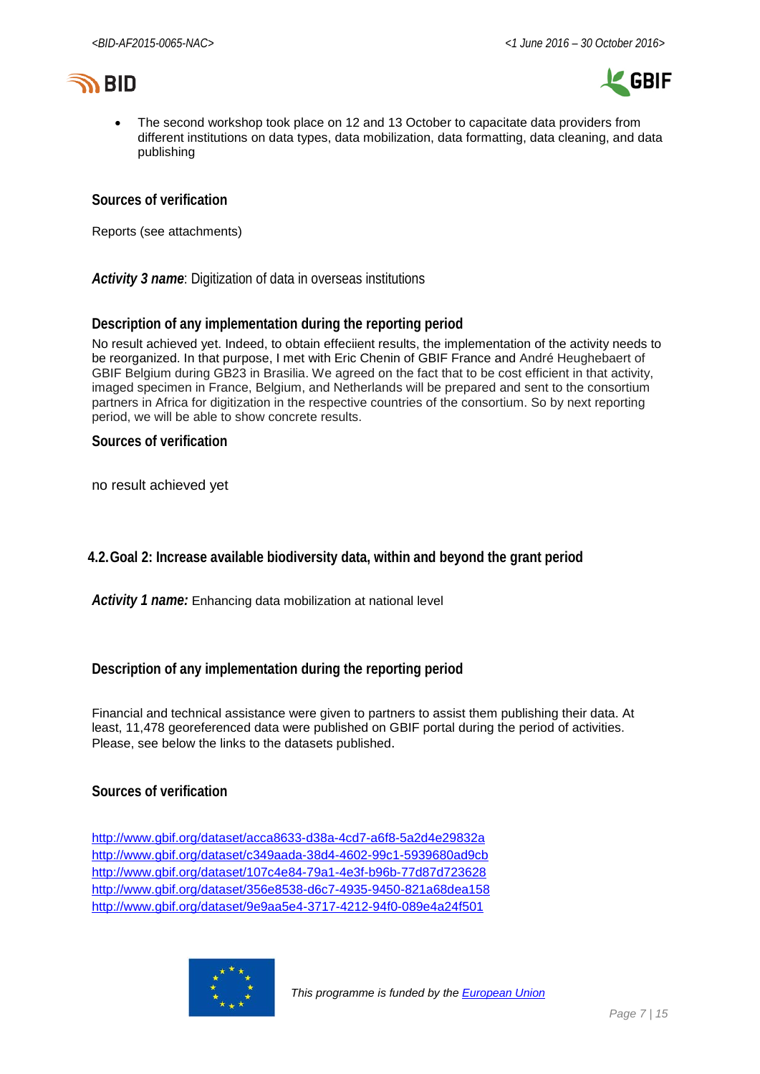



• The second workshop took place on 12 and 13 October to capacitate data providers from different institutions on data types, data mobilization, data formatting, data cleaning, and data publishing

#### **Sources of verification**

Reports (see attachments)

*Activity 3 name*: Digitization of data in overseas institutions

#### **Description of any implementation during the reporting period**

No result achieved yet. Indeed, to obtain effeciient results, the implementation of the activity needs to be reorganized. In that purpose, I met with Eric Chenin of GBIF France and André Heughebaert of GBIF Belgium during GB23 in Brasilia. We agreed on the fact that to be cost efficient in that activity, imaged specimen in France, Belgium, and Netherlands will be prepared and sent to the consortium partners in Africa for digitization in the respective countries of the consortium. So by next reporting period, we will be able to show concrete results.

#### **Sources of verification**

no result achieved yet

**4.2.Goal 2: Increase available biodiversity data, within and beyond the grant period**

*Activity 1 name:* Enhancing data mobilization at national level

#### **Description of any implementation during the reporting period**

Financial and technical assistance were given to partners to assist them publishing their data. At least, 11,478 georeferenced data were published on GBIF portal during the period of activities. Please, see below the links to the datasets published.

#### **Sources of verification**

<http://www.gbif.org/dataset/acca8633-d38a-4cd7-a6f8-5a2d4e29832a> <http://www.gbif.org/dataset/c349aada-38d4-4602-99c1-5939680ad9cb> <http://www.gbif.org/dataset/107c4e84-79a1-4e3f-b96b-77d87d723628> <http://www.gbif.org/dataset/356e8538-d6c7-4935-9450-821a68dea158> <http://www.gbif.org/dataset/9e9aa5e4-3717-4212-94f0-089e4a24f501>

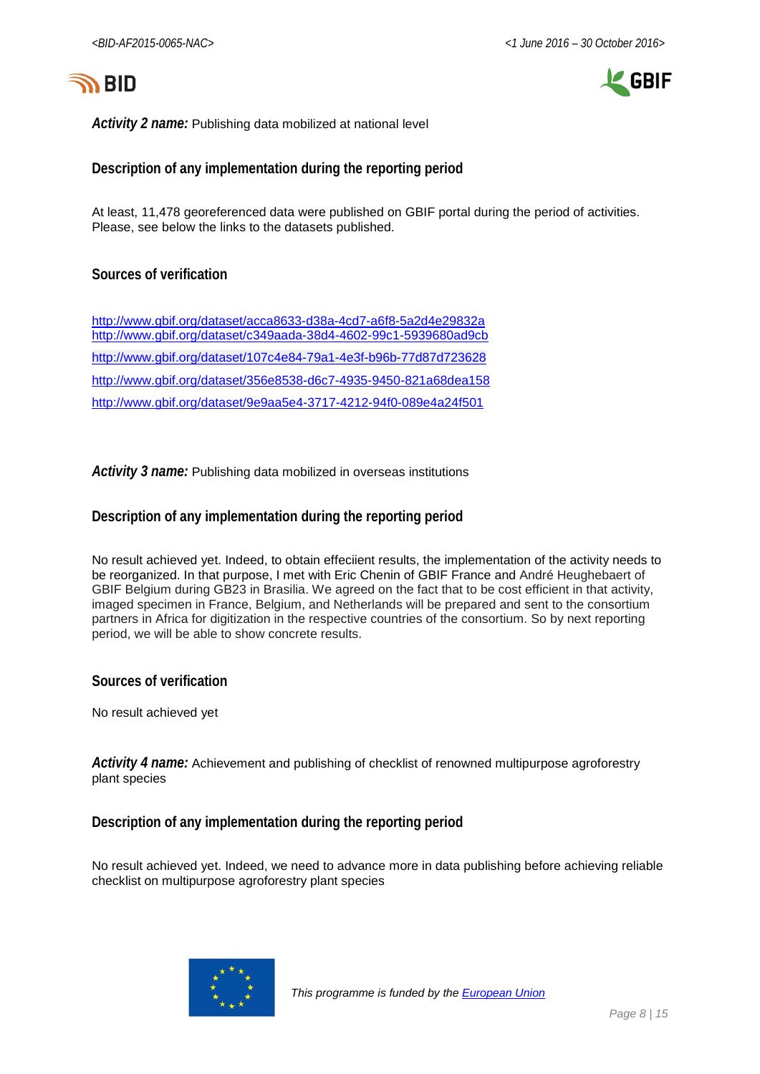



*Activity 2 name:* Publishing data mobilized at national level

#### **Description of any implementation during the reporting period**

At least, 11,478 georeferenced data were published on GBIF portal during the period of activities. Please, see below the links to the datasets published.

#### **Sources of verification**

<http://www.gbif.org/dataset/acca8633-d38a-4cd7-a6f8-5a2d4e29832a> <http://www.gbif.org/dataset/c349aada-38d4-4602-99c1-5939680ad9cb> <http://www.gbif.org/dataset/107c4e84-79a1-4e3f-b96b-77d87d723628> <http://www.gbif.org/dataset/356e8538-d6c7-4935-9450-821a68dea158> <http://www.gbif.org/dataset/9e9aa5e4-3717-4212-94f0-089e4a24f501>

*Activity 3 name:* Publishing data mobilized in overseas institutions

#### **Description of any implementation during the reporting period**

No result achieved yet. Indeed, to obtain effeciient results, the implementation of the activity needs to be reorganized. In that purpose, I met with Eric Chenin of GBIF France and André Heughebaert of GBIF Belgium during GB23 in Brasilia. We agreed on the fact that to be cost efficient in that activity, imaged specimen in France, Belgium, and Netherlands will be prepared and sent to the consortium partners in Africa for digitization in the respective countries of the consortium. So by next reporting period, we will be able to show concrete results.

**Sources of verification**

No result achieved yet

*Activity 4 name:* Achievement and publishing of checklist of renowned multipurpose agroforestry plant species

**Description of any implementation during the reporting period**

No result achieved yet. Indeed, we need to advance more in data publishing before achieving reliable checklist on multipurpose agroforestry plant species

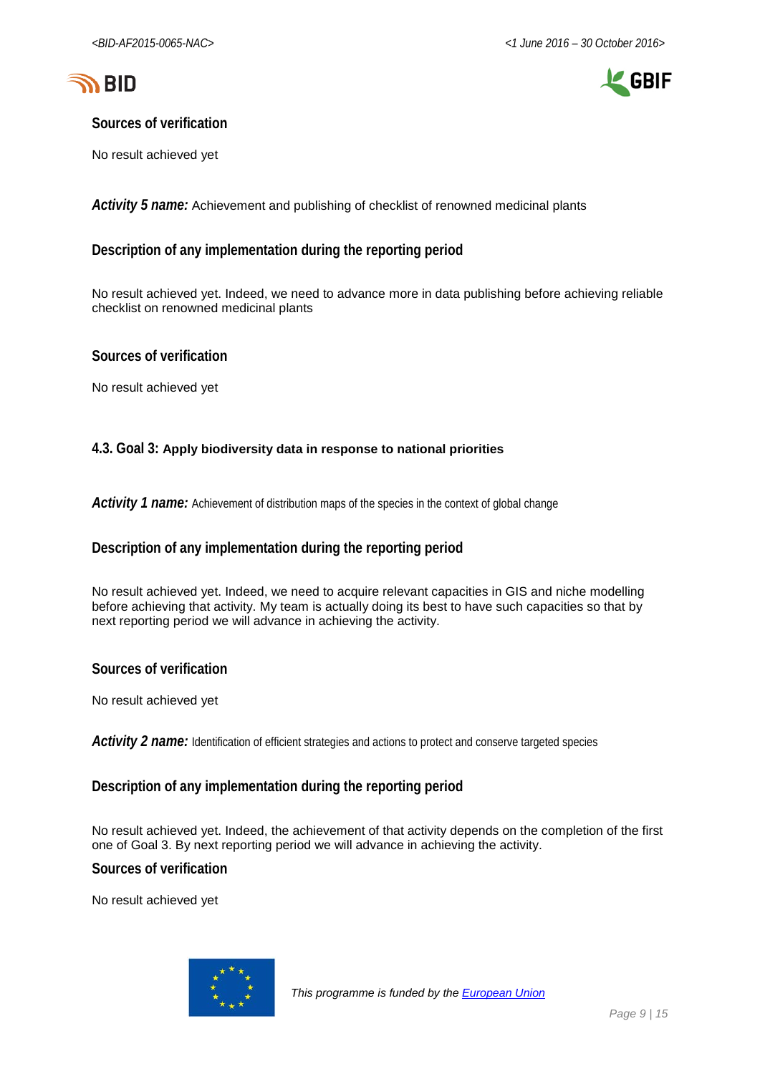



### **Sources of verification**

No result achieved yet

*Activity 5 name:* Achievement and publishing of checklist of renowned medicinal plants

### **Description of any implementation during the reporting period**

No result achieved yet. Indeed, we need to advance more in data publishing before achieving reliable checklist on renowned medicinal plants

#### **Sources of verification**

No result achieved yet

#### **4.3. Goal 3: Apply biodiversity data in response to national priorities**

Activity 1 name: Achievement of distribution maps of the species in the context of global change

#### **Description of any implementation during the reporting period**

No result achieved yet. Indeed, we need to acquire relevant capacities in GIS and niche modelling before achieving that activity. My team is actually doing its best to have such capacities so that by next reporting period we will advance in achieving the activity.

**Sources of verification**

No result achieved yet

*Activity 2 name:* Identification of efficient strategies and actions to protect and conserve targeted species

#### **Description of any implementation during the reporting period**

No result achieved yet. Indeed, the achievement of that activity depends on the completion of the first one of Goal 3. By next reporting period we will advance in achieving the activity.

**Sources of verification**

No result achieved yet

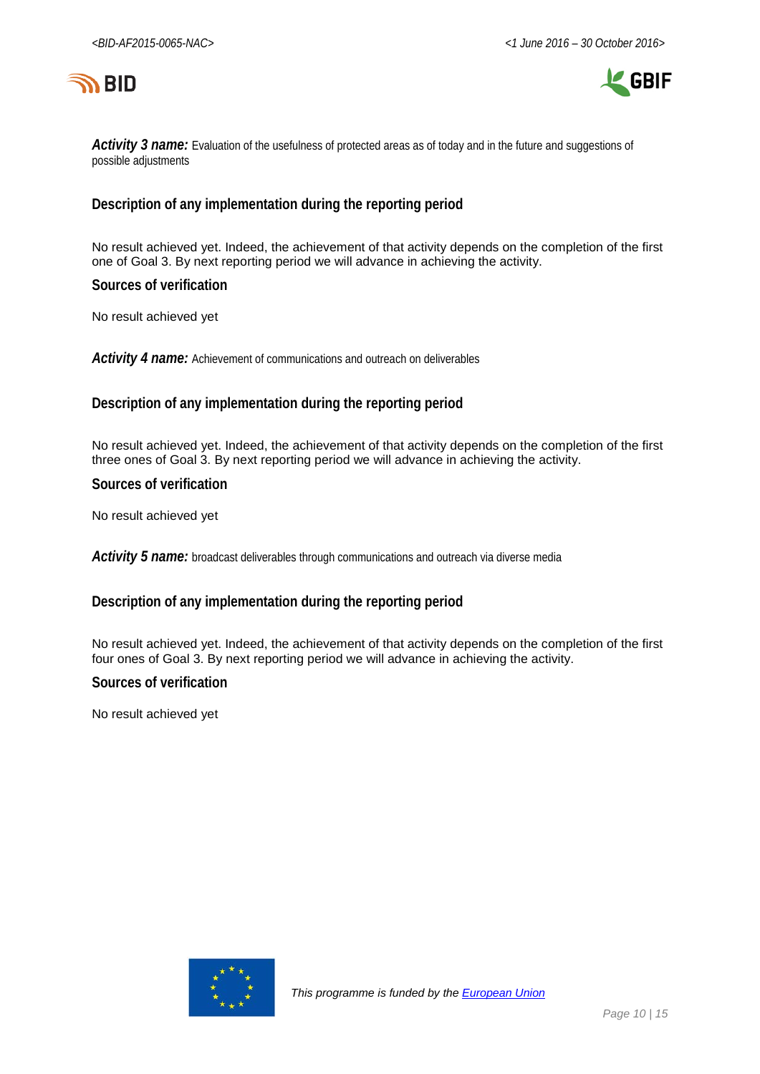



Activity 3 name: Evaluation of the usefulness of protected areas as of today and in the future and suggestions of possible adjustments

### **Description of any implementation during the reporting period**

No result achieved yet. Indeed, the achievement of that activity depends on the completion of the first one of Goal 3. By next reporting period we will advance in achieving the activity.

**Sources of verification**

No result achieved yet

*Activity 4 name:* Achievement of communications and outreach on deliverables

#### **Description of any implementation during the reporting period**

No result achieved yet. Indeed, the achievement of that activity depends on the completion of the first three ones of Goal 3. By next reporting period we will advance in achieving the activity.

**Sources of verification**

No result achieved yet

*Activity 5 name:* broadcast deliverables through communications and outreach via diverse media

#### **Description of any implementation during the reporting period**

No result achieved yet. Indeed, the achievement of that activity depends on the completion of the first four ones of Goal 3. By next reporting period we will advance in achieving the activity.

#### **Sources of verification**

No result achieved yet

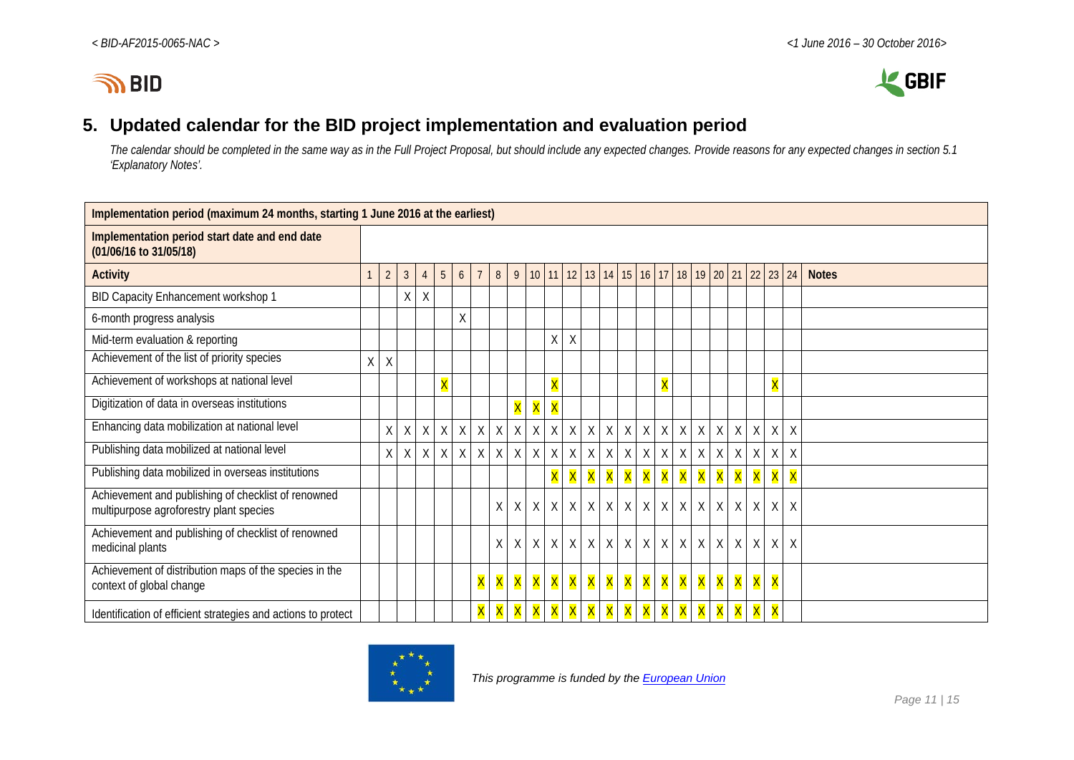



# **5. Updated calendar for the BID project implementation and evaluation period**

*The calendar should be completed in the same way as in the Full Project Proposal, but should include any expected changes. Provide reasons for any expected changes in section 5.1 'Explanatory Notes'.*

<span id="page-10-0"></span>

| Implementation period (maximum 24 months, starting 1 June 2016 at the earliest)                |   |                |                |                |                         |              |                |              |                |                 |                         |          |                  |              |   |             |                         |              |                         |                         |             |         |                         |                         |              |
|------------------------------------------------------------------------------------------------|---|----------------|----------------|----------------|-------------------------|--------------|----------------|--------------|----------------|-----------------|-------------------------|----------|------------------|--------------|---|-------------|-------------------------|--------------|-------------------------|-------------------------|-------------|---------|-------------------------|-------------------------|--------------|
| Implementation period start date and end date<br>(01/06/16 to 31/05/18)                        |   |                |                |                |                         |              |                |              |                |                 |                         |          |                  |              |   |             |                         |              |                         |                         |             |         |                         |                         |              |
| <b>Activity</b>                                                                                |   | $\overline{2}$ | $\mathfrak{Z}$ | $\overline{4}$ | 5                       | 6            | $\overline{7}$ | 8            | $\overline{9}$ | 10 <sup>°</sup> | 11                      |          |                  | $12$ 13 14   |   | 15 16 17 18 |                         |              |                         | $19 \mid 20 \mid 21$    |             | 22      | 23                      | 24                      | <b>Notes</b> |
| BID Capacity Enhancement workshop 1                                                            |   |                | Χ              | $\sf X$        |                         |              |                |              |                |                 |                         |          |                  |              |   |             |                         |              |                         |                         |             |         |                         |                         |              |
| 6-month progress analysis                                                                      |   |                |                |                |                         | Χ            |                |              |                |                 |                         |          |                  |              |   |             |                         |              |                         |                         |             |         |                         |                         |              |
| Mid-term evaluation & reporting                                                                |   |                |                |                |                         |              |                |              |                |                 | X                       | $\sf X$  |                  |              |   |             |                         |              |                         |                         |             |         |                         |                         |              |
| Achievement of the list of priority species                                                    | X | $\sf X$        |                |                |                         |              |                |              |                |                 |                         |          |                  |              |   |             |                         |              |                         |                         |             |         |                         |                         |              |
| Achievement of workshops at national level                                                     |   |                |                |                | $\overline{\mathsf{X}}$ |              |                |              |                |                 | $\overline{\mathsf{X}}$ |          |                  |              |   |             | $\overline{\mathsf{X}}$ |              |                         |                         |             |         | $\overline{\mathsf{X}}$ |                         |              |
| Digitization of data in overseas institutions                                                  |   |                |                |                |                         |              |                |              | X              | X               | X                       |          |                  |              |   |             |                         |              |                         |                         |             |         |                         |                         |              |
| Enhancing data mobilization at national level                                                  |   | Χ              | X              | $\sf X$        | X                       | $\mathsf{X}$ | $\sf X$        | $\mathsf X$  | $\sf X$        | $\sf X$         | $\sf X$                 | $\chi$   | X                | $\chi$       | X | $\chi$      | $\sf X$                 | $\chi$       | $\mathsf X$             | $\mathsf X$             | $\mathsf X$ | $\chi$  | X                       | $\mathsf{X}$            |              |
| Publishing data mobilized at national level                                                    |   | X              | X              | X              | X                       | X            | X              | X            | X              | $\sf X$         | $\sf X$                 | X        | X                | $\sf X$      | X | $\sf X$     | $\sf X$                 | $\mathsf X$  | Χ                       | $\chi$                  | $\mathsf X$ | $\sf X$ | $\mathsf X$             | $\sf X$                 |              |
| Publishing data mobilized in overseas institutions                                             |   |                |                |                |                         |              |                |              |                |                 | X                       | <b>X</b> | X                | X            | X | X           | X                       | X            | $\overline{\mathsf{X}}$ | $\overline{\mathsf{X}}$ | X           | X       | $\overline{\mathsf{X}}$ | $\overline{\mathsf{X}}$ |              |
| Achievement and publishing of checklist of renowned<br>multipurpose agroforestry plant species |   |                |                |                |                         |              |                | $\mathsf{X}$ | X              | $\chi$          | X                       |          | $X$ $X$          | $\mathsf{X}$ | X | $\chi$      | X                       | $\mathsf{X}$ | $\mathsf{X}% _{0}$      | $\sf X$                 | $\mathsf X$ | $\sf X$ | $\mathsf X$             | $\chi$                  |              |
| Achievement and publishing of checklist of renowned<br>medicinal plants                        |   |                |                |                |                         |              |                | X            | X              | $\chi$          | X                       |          | $X$ $X$          | $\sf X$      | X | X           | X                       | $\sf X$      | $\sf X$                 | $\chi$                  | $\sf X$     | $\sf X$ | X                       | $\times$                |              |
| Achievement of distribution maps of the species in the<br>context of global change             |   |                |                |                |                         |              | X              | <b>X</b>     | X              | X               | X                       |          | <mark>X</mark> X | X            | X | X           | X                       | X            | X                       | X                       | X           | X       | X                       |                         |              |
| Identification of efficient strategies and actions to protect                                  |   |                |                |                |                         |              |                | X            | X              | X               | X                       | <b>X</b> | X                | X            | X | X           | X                       | X            | $\overline{\mathsf{X}}$ | $\overline{\mathsf{X}}$ | X           | X       | $\overline{\mathsf{X}}$ |                         |              |

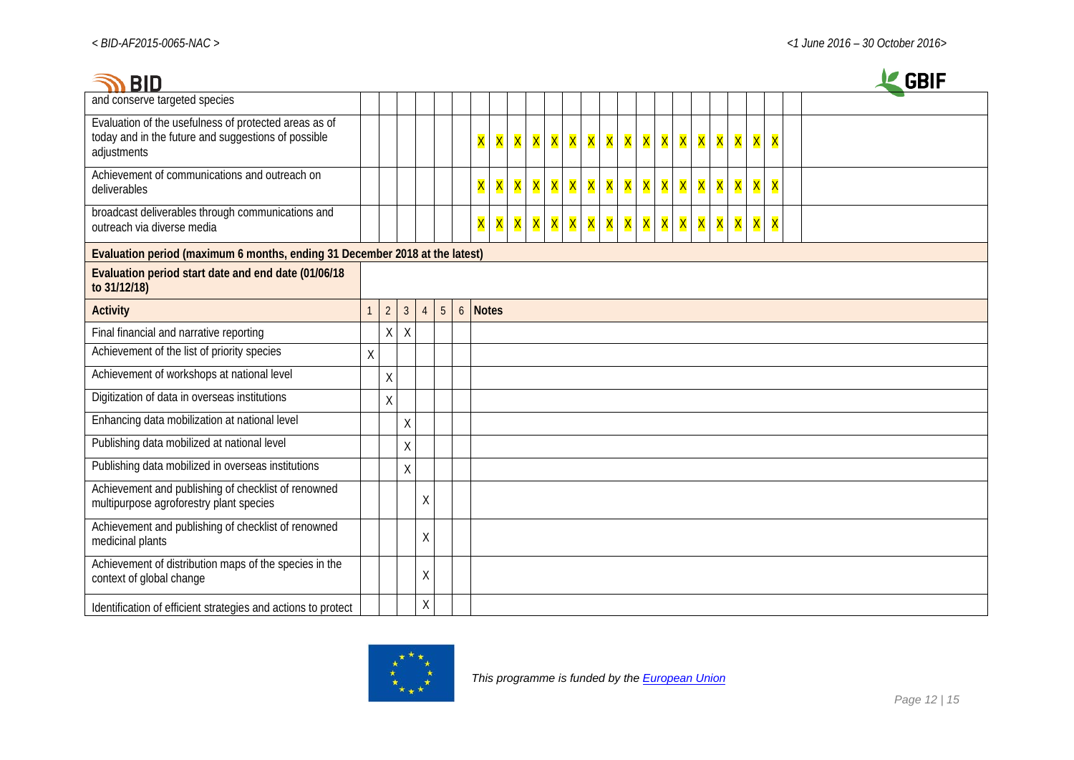| <b>BID</b>                                                                                                                  |         |                |                |                |                |                           |                           |   |   |                    |         |   |   |   |                  |   |   |   |   |   |                    |                         | <b>GBIF</b> |
|-----------------------------------------------------------------------------------------------------------------------------|---------|----------------|----------------|----------------|----------------|---------------------------|---------------------------|---|---|--------------------|---------|---|---|---|------------------|---|---|---|---|---|--------------------|-------------------------|-------------|
| and conserve targeted species                                                                                               |         |                |                |                |                |                           |                           |   |   |                    |         |   |   |   |                  |   |   |   |   |   |                    |                         |             |
| Evaluation of the usefulness of protected areas as of<br>today and in the future and suggestions of possible<br>adjustments |         |                |                |                |                | X                         | <b>X</b>                  |   |   | <mark>X</mark> X X | X       | X | X |   | <mark>X</mark> X | X | X | X | X |   | <mark>X X X</mark> |                         |             |
| Achievement of communications and outreach on<br>deliverables                                                               |         |                |                |                |                | X                         | X                         | X | X | X                  | X       | X | X | X | X                | X | X | X | X | X | <b>X</b>           | X                       |             |
| broadcast deliverables through communications and<br>outreach via diverse media                                             |         |                |                |                |                | $\overline{\mathsf{x}}$ . | $\overline{\mathsf{X}}$ . |   |   |                    | X X X X | X | X | X | X                | X | X | X | X |   | X X                | $\overline{\mathsf{X}}$ |             |
| Evaluation period (maximum 6 months, ending 31 December 2018 at the latest)                                                 |         |                |                |                |                |                           |                           |   |   |                    |         |   |   |   |                  |   |   |   |   |   |                    |                         |             |
| Evaluation period start date and end date (01/06/18<br>to 31/12/18)                                                         |         |                |                |                |                |                           |                           |   |   |                    |         |   |   |   |                  |   |   |   |   |   |                    |                         |             |
| <b>Activity</b>                                                                                                             |         | 2 <sup>1</sup> | 3 <sup>1</sup> | $\overline{4}$ | 5 <sup>5</sup> | 6 Notes                   |                           |   |   |                    |         |   |   |   |                  |   |   |   |   |   |                    |                         |             |
| Final financial and narrative reporting                                                                                     |         | X              | $\sf X$        |                |                |                           |                           |   |   |                    |         |   |   |   |                  |   |   |   |   |   |                    |                         |             |
| Achievement of the list of priority species                                                                                 | $\sf X$ |                |                |                |                |                           |                           |   |   |                    |         |   |   |   |                  |   |   |   |   |   |                    |                         |             |
| Achievement of workshops at national level                                                                                  |         | $\sf X$        |                |                |                |                           |                           |   |   |                    |         |   |   |   |                  |   |   |   |   |   |                    |                         |             |
| Digitization of data in overseas institutions                                                                               |         | $\sf X$        |                |                |                |                           |                           |   |   |                    |         |   |   |   |                  |   |   |   |   |   |                    |                         |             |
| Enhancing data mobilization at national level                                                                               |         |                | $\sf X$        |                |                |                           |                           |   |   |                    |         |   |   |   |                  |   |   |   |   |   |                    |                         |             |
| Publishing data mobilized at national level                                                                                 |         |                | $\sf X$        |                |                |                           |                           |   |   |                    |         |   |   |   |                  |   |   |   |   |   |                    |                         |             |
| Publishing data mobilized in overseas institutions                                                                          |         |                | $\sf X$        |                |                |                           |                           |   |   |                    |         |   |   |   |                  |   |   |   |   |   |                    |                         |             |
| Achievement and publishing of checklist of renowned<br>multipurpose agroforestry plant species                              |         |                |                | X              |                |                           |                           |   |   |                    |         |   |   |   |                  |   |   |   |   |   |                    |                         |             |
| Achievement and publishing of checklist of renowned<br>medicinal plants                                                     |         |                |                | $\mathsf X$    |                |                           |                           |   |   |                    |         |   |   |   |                  |   |   |   |   |   |                    |                         |             |
| Achievement of distribution maps of the species in the<br>context of global change                                          |         |                |                | Χ              |                |                           |                           |   |   |                    |         |   |   |   |                  |   |   |   |   |   |                    |                         |             |
| Identification of efficient strategies and actions to protect                                                               |         |                |                | $\mathsf X$    |                |                           |                           |   |   |                    |         |   |   |   |                  |   |   |   |   |   |                    |                         |             |

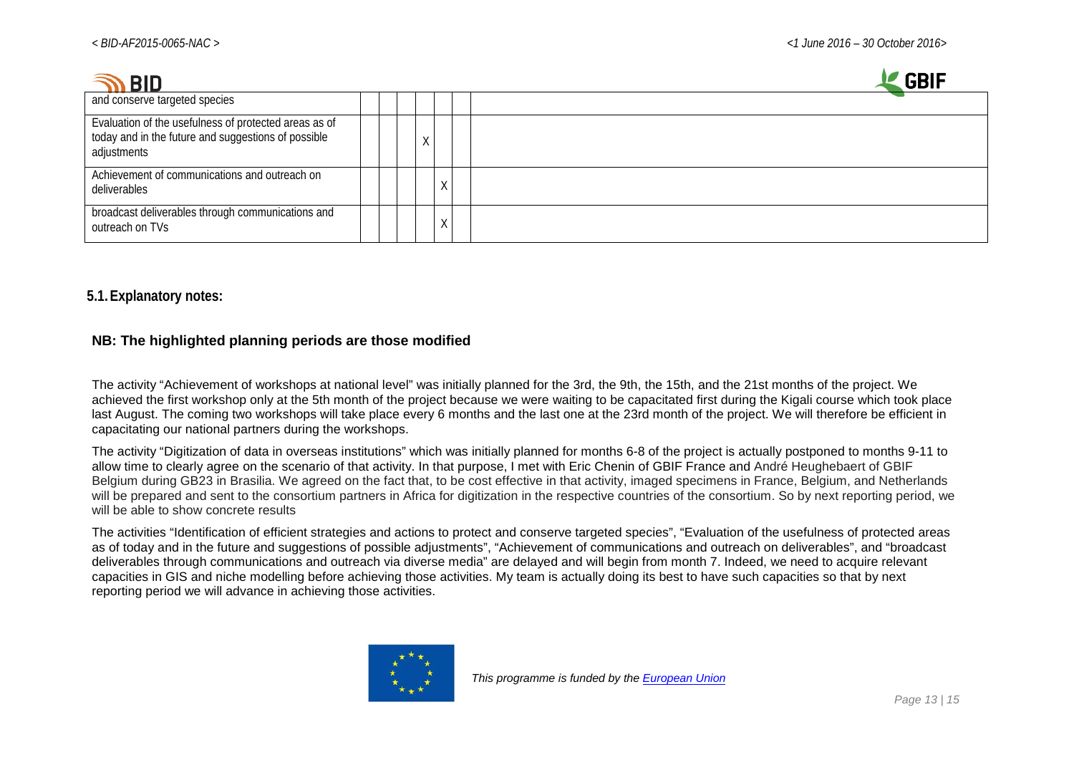| <b>BID</b>                                                                                                                  |    |           | <b>GBIF</b> |
|-----------------------------------------------------------------------------------------------------------------------------|----|-----------|-------------|
| and conserve targeted species                                                                                               |    |           |             |
| Evaluation of the usefulness of protected areas as of<br>today and in the future and suggestions of possible<br>adjustments | X. |           |             |
| Achievement of communications and outreach on<br>deliverables                                                               |    |           |             |
| broadcast deliverables through communications and<br>outreach on TVs                                                        |    | $\Lambda$ |             |

### **5.1.Explanatory notes:**

#### **NB: The highlighted planning periods are those modified**

The activity "Achievement of workshops at national level" was initially planned for the 3rd, the 9th, the 15th, and the 21st months of the project. We achieved the first workshop only at the 5th month of the project because we were waiting to be capacitated first during the Kigali course which took place last August. The coming two workshops will take place every 6 months and the last one at the 23rd month of the project. We will therefore be efficient in capacitating our national partners during the workshops.

The activity "Digitization of data in overseas institutions" which was initially planned for months 6-8 of the project is actually postponed to months 9-11 to allow time to clearly agree on the scenario of that activity. In that purpose, I met with Eric Chenin of GBIF France and André Heughebaert of GBIF Belgium during GB23 in Brasilia. We agreed on the fact that, to be cost effective in that activity, imaged specimens in France, Belgium, and Netherlands will be prepared and sent to the consortium partners in Africa for digitization in the respective countries of the consortium. So by next reporting period, we will be able to show concrete results

The activities "Identification of efficient strategies and actions to protect and conserve targeted species", "Evaluation of the usefulness of protected areas as of today and in the future and suggestions of possible adjustments", "Achievement of communications and outreach on deliverables", and "broadcast deliverables through communications and outreach via diverse media" are delayed and will begin from month 7. Indeed, we need to acquire relevant capacities in GIS and niche modelling before achieving those activities. My team is actually doing its best to have such capacities so that by next reporting period we will advance in achieving those activities.

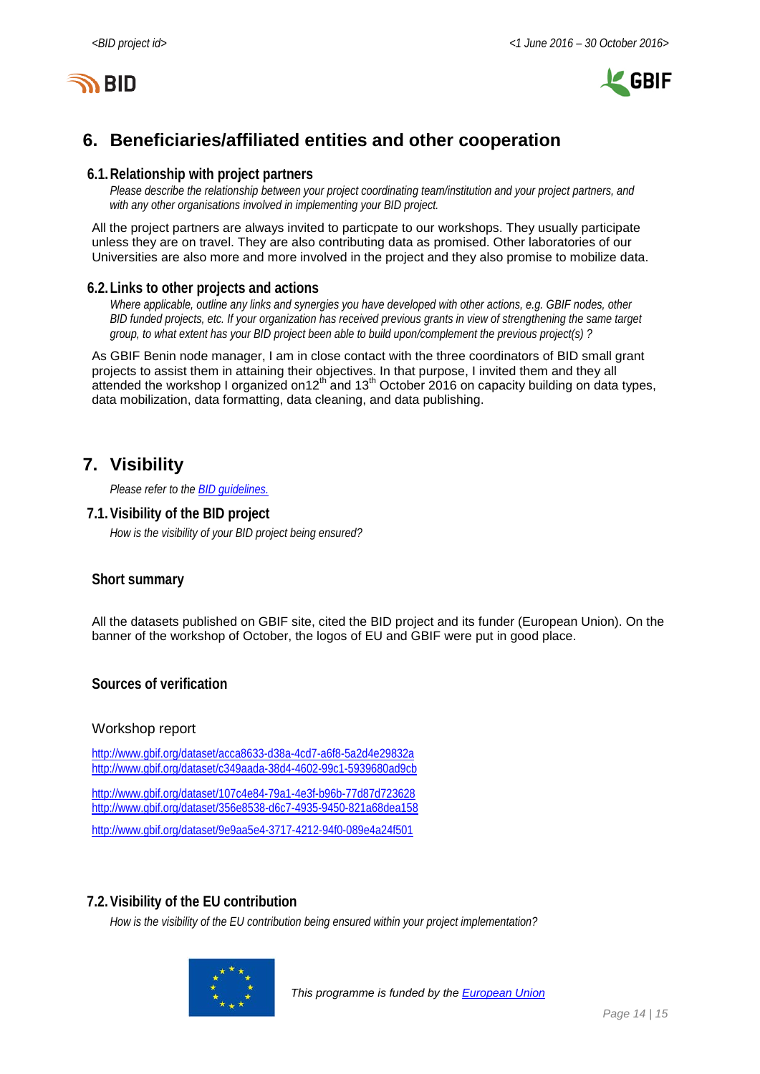



# <span id="page-13-0"></span>**6. Beneficiaries/affiliated entities and other cooperation**

#### **6.1.Relationship with project partners**

*Please describe the relationship between your project coordinating team/institution and your project partners, and with any other organisations involved in implementing your BID project.*

All the project partners are always invited to particpate to our workshops. They usually participate unless they are on travel. They are also contributing data as promised. Other laboratories of our Universities are also more and more involved in the project and they also promise to mobilize data.

#### **6.2.Links to other projects and actions**

*Where applicable, outline any links and synergies you have developed with other actions, e.g. GBIF nodes, other BID funded projects, etc. If your organization has received previous grants in view of strengthening the same target group, to what extent has your BID project been able to build upon/complement the previous project(s) ?*

As GBIF Benin node manager, I am in close contact with the three coordinators of BID small grant projects to assist them in attaining their objectives. In that purpose, I invited them and they all attended the workshop I organized on 12<sup>th</sup> and 13<sup>th</sup> October 2016 on capacity building on data types, data mobilization, data formatting, data cleaning, and data publishing.

# <span id="page-13-1"></span>**7. Visibility**

*Please refer to th[e BID guidelines.](http://bid.gbif.org/en/community/communication-guidelines/)*

#### **7.1.Visibility of the BID project**

*How is the visibility of your BID project being ensured?*

### **Short summary**

All the datasets published on GBIF site, cited the BID project and its funder (European Union). On the banner of the workshop of October, the logos of EU and GBIF were put in good place.

#### **Sources of verification**

#### Workshop report

<http://www.gbif.org/dataset/acca8633-d38a-4cd7-a6f8-5a2d4e29832a> <http://www.gbif.org/dataset/c349aada-38d4-4602-99c1-5939680ad9cb>

<http://www.gbif.org/dataset/107c4e84-79a1-4e3f-b96b-77d87d723628> <http://www.gbif.org/dataset/356e8538-d6c7-4935-9450-821a68dea158>

<http://www.gbif.org/dataset/9e9aa5e4-3717-4212-94f0-089e4a24f501>

#### **7.2.Visibility of the EU contribution**

*How is the visibility of the EU contribution being ensured within your project implementation?*